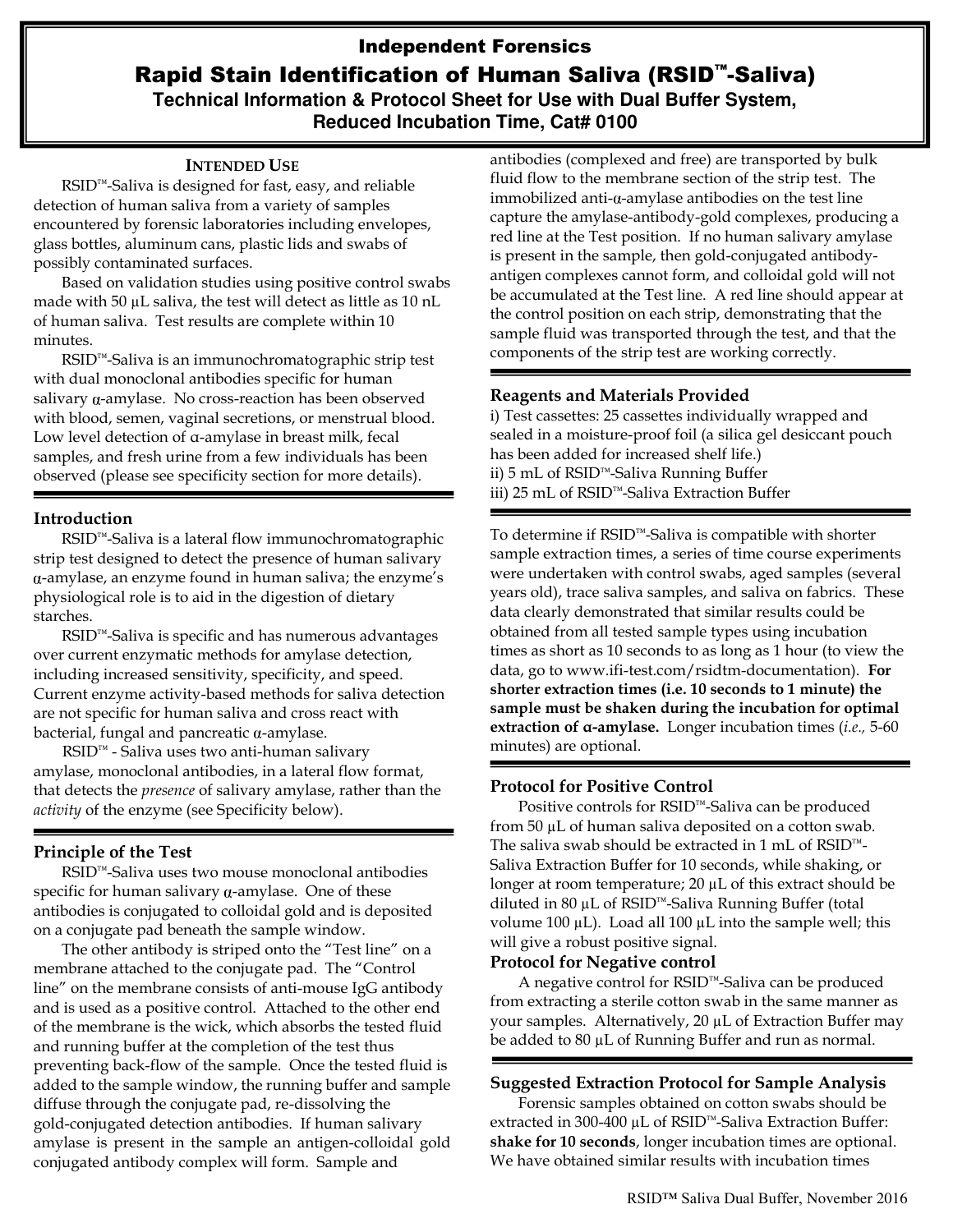# Independent Forensics Rapid Stain Identification of Human Saliva (RSID™-Saliva) **Technical Information & Protocol Sheet for Use with Dual Buffer System,**

**Reduced Incubation Time, Cat# 0100** 

#### **INTENDED USE**

RSID™-Saliva is designed for fast, easy, and reliable detection of human saliva from a variety of samples encountered by forensic laboratories including envelopes, glass bottles, aluminum cans, plastic lids and swabs of possibly contaminated surfaces.

Based on validation studies using positive control swabs made with 50 µL saliva, the test will detect as little as 10 nL of human saliva. Test results are complete within 10 minutes.

RSID™-Saliva is an immunochromatographic strip test with dual monoclonal antibodies specific for human salivary  $\alpha$ -amylase. No cross-reaction has been observed with blood, semen, vaginal secretions, or menstrual blood. Low level detection of α-amylase in breast milk, fecal samples, and fresh urine from a few individuals has been observed (please see specificity section for more details).

#### **Introduction**

RSID™-Saliva is a lateral flow immunochromatographic strip test designed to detect the presence of human salivary -amylase, an enzyme found in human saliva; the enzyme's physiological role is to aid in the digestion of dietary starches.

RSID™-Saliva is specific and has numerous advantages over current enzymatic methods for amylase detection, including increased sensitivity, specificity, and speed. Current enzyme activity-based methods for saliva detection are not specific for human saliva and cross react with bacterial, fungal and pancreatic  $\alpha$ -amylase.

RSID™ - Saliva uses two anti-human salivary amylase, monoclonal antibodies, in a lateral flow format, that detects the *presence* of salivary amylase, rather than the *activity* of the enzyme (see Specificity below).

# **Principle of the Test**

RSID™-Saliva uses two mouse monoclonal antibodies specific for human salivary  $\alpha$ -amylase. One of these antibodies is conjugated to colloidal gold and is deposited on a conjugate pad beneath the sample window.

The other antibody is striped onto the "Test line" on a membrane attached to the conjugate pad. The "Control line" on the membrane consists of anti-mouse IgG antibody and is used as a positive control. Attached to the other end of the membrane is the wick, which absorbs the tested fluid and running buffer at the completion of the test thus preventing back-flow of the sample. Once the tested fluid is added to the sample window, the running buffer and sample diffuse through the conjugate pad, re-dissolving the gold-conjugated detection antibodies. If human salivary amylase is present in the sample an antigen-colloidal gold conjugated antibody complex will form. Sample and

antibodies (complexed and free) are transported by bulk fluid flow to the membrane section of the strip test. The immobilized anti- $\alpha$ -amylase antibodies on the test line capture the amylase-antibody-gold complexes, producing a red line at the Test position. If no human salivary amylase is present in the sample, then gold-conjugated antibodyantigen complexes cannot form, and colloidal gold will not be accumulated at the Test line. A red line should appear at the control position on each strip, demonstrating that the sample fluid was transported through the test, and that the components of the strip test are working correctly.

### **Reagents and Materials Provided**

i) Test cassettes: 25 cassettes individually wrapped and sealed in a moisture-proof foil (a silica gel desiccant pouch has been added for increased shelf life.) ii) 5 mL of RSID™-Saliva Running Buffer iii) 25 mL of RSID™-Saliva Extraction Buffer

To determine if RSID™-Saliva is compatible with shorter sample extraction times, a series of time course experiments were undertaken with control swabs, aged samples (several years old), trace saliva samples, and saliva on fabrics. These data clearly demonstrated that similar results could be obtained from all tested sample types using incubation times as short as 10 seconds to as long as 1 hour (to view the data, go to [www.ifi-test.com/rsidtm-documentation\)](http://www.ifi-test.com/rsidtm-documentation). **For shorter extraction times (i.e. 10 seconds to 1 minute) the sample must be shaken during the incubation for optimal extraction of α-amylase.** Longer incubation times (*i.e.,* 5-60 minutes) are optional.

# **Protocol for Positive Control**

Positive controls for RSID™-Saliva can be produced from 50 µL of human saliva deposited on a cotton swab. The saliva swab should be extracted in 1 mL of RSID™- Saliva Extraction Buffer for 10 seconds, while shaking, or longer at room temperature; 20 µL of this extract should be diluted in 80 µL of RSID™-Saliva Running Buffer (total volume 100 µL). Load all 100 µL into the sample well; this will give a robust positive signal.

### **Protocol for Negative control**

A negative control for RSID™-Saliva can be produced from extracting a sterile cotton swab in the same manner as your samples. Alternatively, 20 µL of Extraction Buffer may be added to 80 µL of Running Buffer and run as normal.

# **Suggested Extraction Protocol for Sample Analysis**

Forensic samples obtained on cotton swabs should be extracted in 300-400 µL of RSID™-Saliva Extraction Buffer: **shake for 10 seconds**, longer incubation times are optional. We have obtained similar results with incubation times